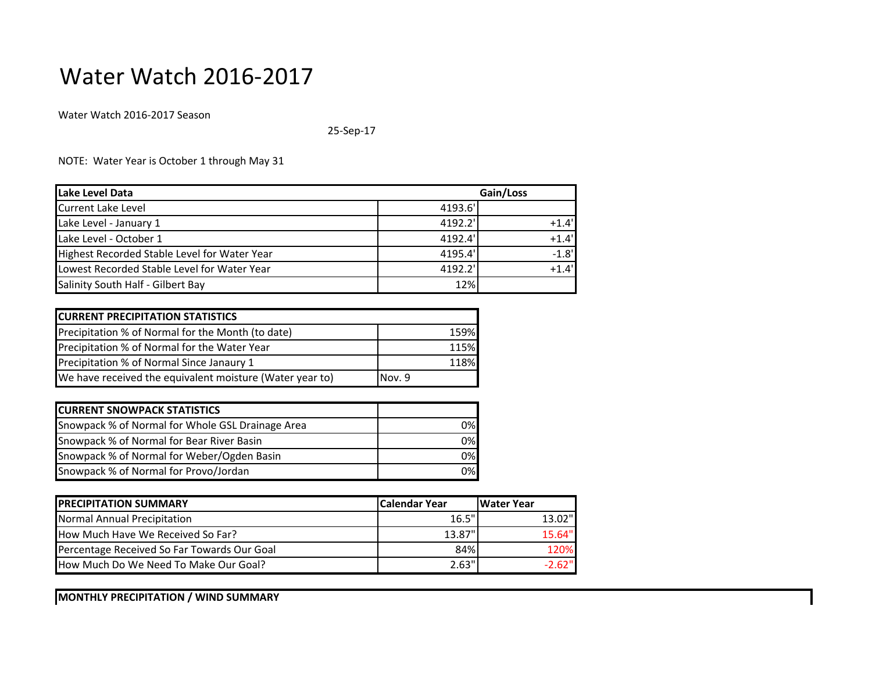## Water Watch 2016-2017

Water Watch 2016-2017 Season

25-Sep-17

NOTE: Water Year is October 1 through May 31

| Lake Level Data<br>Gain/Loss                 |         |         |
|----------------------------------------------|---------|---------|
| Current Lake Level                           | 4193.6  |         |
| Lake Level - January 1                       | 4192.2' | $+1.4'$ |
| Lake Level - October 1                       | 4192.4' | $+1.4$  |
| Highest Recorded Stable Level for Water Year | 4195.4' | $-1.8'$ |
| Lowest Recorded Stable Level for Water Year  | 4192.2' | $+1.4$  |
| Salinity South Half - Gilbert Bay            | 12%     |         |

| <b>CURRENT PRECIPITATION STATISTICS</b>                  |               |  |  |
|----------------------------------------------------------|---------------|--|--|
| Precipitation % of Normal for the Month (to date)        | 159%          |  |  |
| Precipitation % of Normal for the Water Year             | 115%          |  |  |
| Precipitation % of Normal Since Janaury 1                | 118% <b>I</b> |  |  |
| We have received the equivalent moisture (Water year to) | Nov. 9        |  |  |

| <b>CURRENT SNOWPACK STATISTICS</b>               |     |
|--------------------------------------------------|-----|
| Snowpack % of Normal for Whole GSL Drainage Area | 0%I |
| Snowpack % of Normal for Bear River Basin        | 0%  |
| Snowpack % of Normal for Weber/Ogden Basin       | 0%  |
| Snowpack % of Normal for Provo/Jordan            | 0%  |

| <b>IPRECIPITATION SUMMARY</b>               | Calendar Year | Water Year |
|---------------------------------------------|---------------|------------|
| Normal Annual Precipitation                 | 16.5"         | $13.02$ "  |
| How Much Have We Received So Far?           | 13.87"        | $15.64$ "  |
| Percentage Received So Far Towards Our Goal | 84%           | 120%       |
| How Much Do We Need To Make Our Goal?       | 2.63"         | $-2.62$ "  |

**MONTHLY PRECIPITATION / WIND SUMMARY**